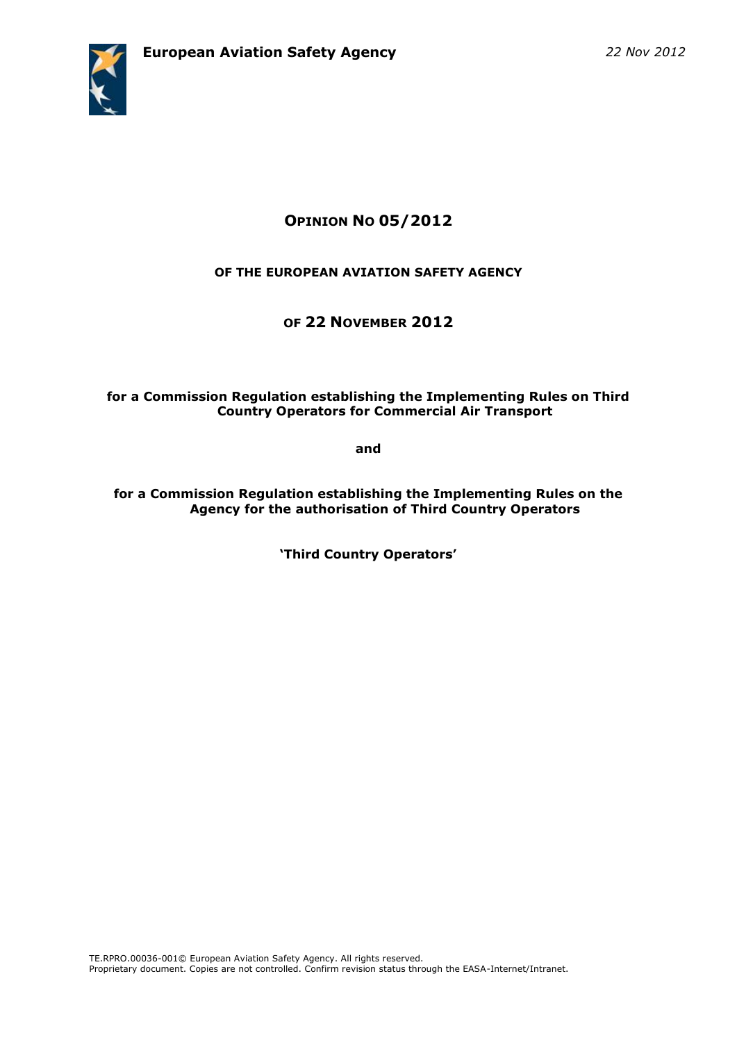

# **OPINION NO 05/2012**

## **OF THE EUROPEAN AVIATION SAFETY AGENCY**

# **OF 22 NOVEMBER 2012**

#### **for a Commission Regulation establishing the Implementing Rules on Third Country Operators for Commercial Air Transport**

**and**

**for a Commission Regulation establishing the Implementing Rules on the Agency for the authorisation of Third Country Operators**

**'Third Country Operators'**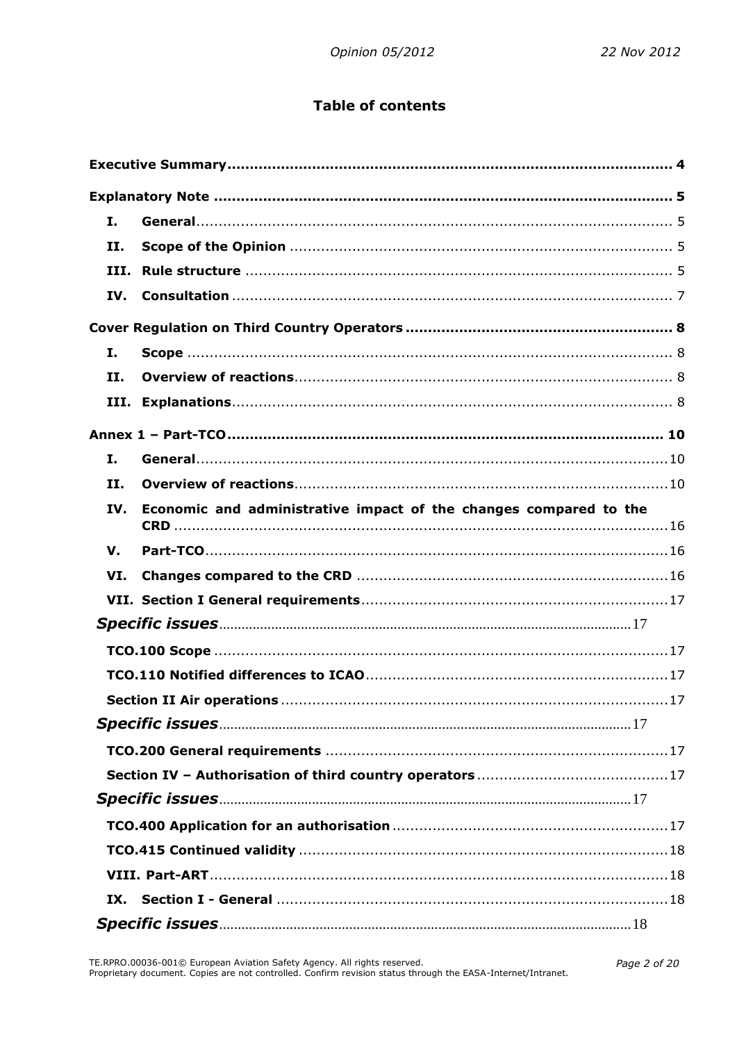# **Table of contents**

| I.         |                                                                   |  |
|------------|-------------------------------------------------------------------|--|
| п.         |                                                                   |  |
| III.       |                                                                   |  |
| IV.        |                                                                   |  |
|            |                                                                   |  |
| Ι.         |                                                                   |  |
| II.        |                                                                   |  |
| III.       |                                                                   |  |
|            |                                                                   |  |
| Ι.         |                                                                   |  |
| <b>II.</b> |                                                                   |  |
| IV.        | Economic and administrative impact of the changes compared to the |  |
| V.         |                                                                   |  |
| VI.        |                                                                   |  |
|            |                                                                   |  |
|            |                                                                   |  |
|            |                                                                   |  |
|            |                                                                   |  |
|            |                                                                   |  |
|            |                                                                   |  |
|            |                                                                   |  |
|            |                                                                   |  |
|            |                                                                   |  |
|            |                                                                   |  |
|            |                                                                   |  |
|            |                                                                   |  |
| IX.        |                                                                   |  |
|            |                                                                   |  |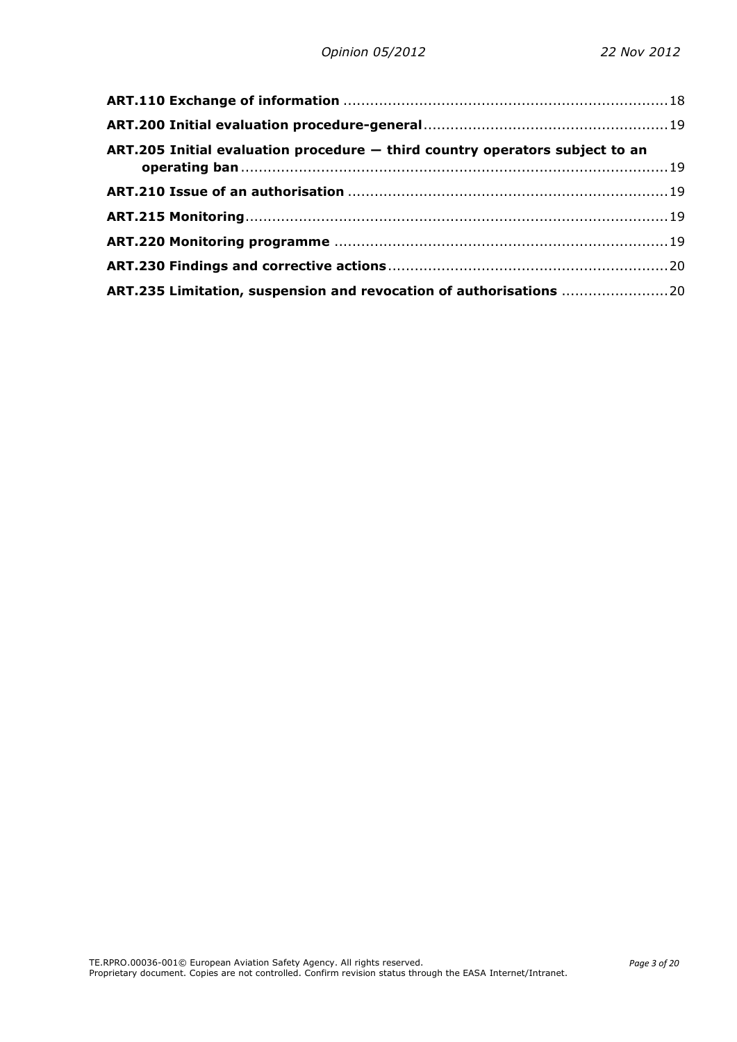| ART.205 Initial evaluation procedure - third country operators subject to an |  |
|------------------------------------------------------------------------------|--|
|                                                                              |  |
|                                                                              |  |
|                                                                              |  |
|                                                                              |  |
| ART.235 Limitation, suspension and revocation of authorisations 20           |  |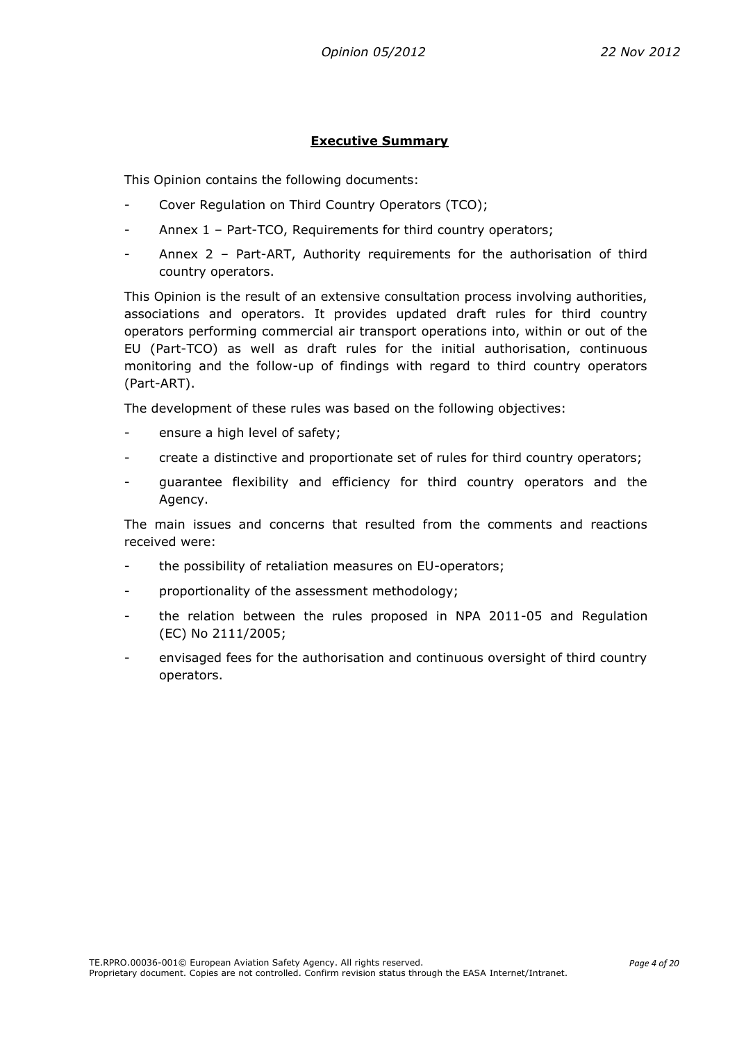#### **Executive Summary**

<span id="page-3-0"></span>This Opinion contains the following documents:

- Cover Regulation on Third Country Operators (TCO);
- Annex 1 Part-TCO, Requirements for third country operators;
- Annex 2 Part-ART, Authority requirements for the authorisation of third country operators.

This Opinion is the result of an extensive consultation process involving authorities, associations and operators. It provides updated draft rules for third country operators performing commercial air transport operations into, within or out of the EU (Part-TCO) as well as draft rules for the initial authorisation, continuous monitoring and the follow-up of findings with regard to third country operators (Part-ART).

The development of these rules was based on the following objectives:

- ensure a high level of safety;
- create a distinctive and proportionate set of rules for third country operators;
- guarantee flexibility and efficiency for third country operators and the Agency.

The main issues and concerns that resulted from the comments and reactions received were:

- the possibility of retaliation measures on EU-operators;
- proportionality of the assessment methodology;
- the relation between the rules proposed in NPA 2011-05 and Regulation (EC) No 2111/2005;
- envisaged fees for the authorisation and continuous oversight of third country operators.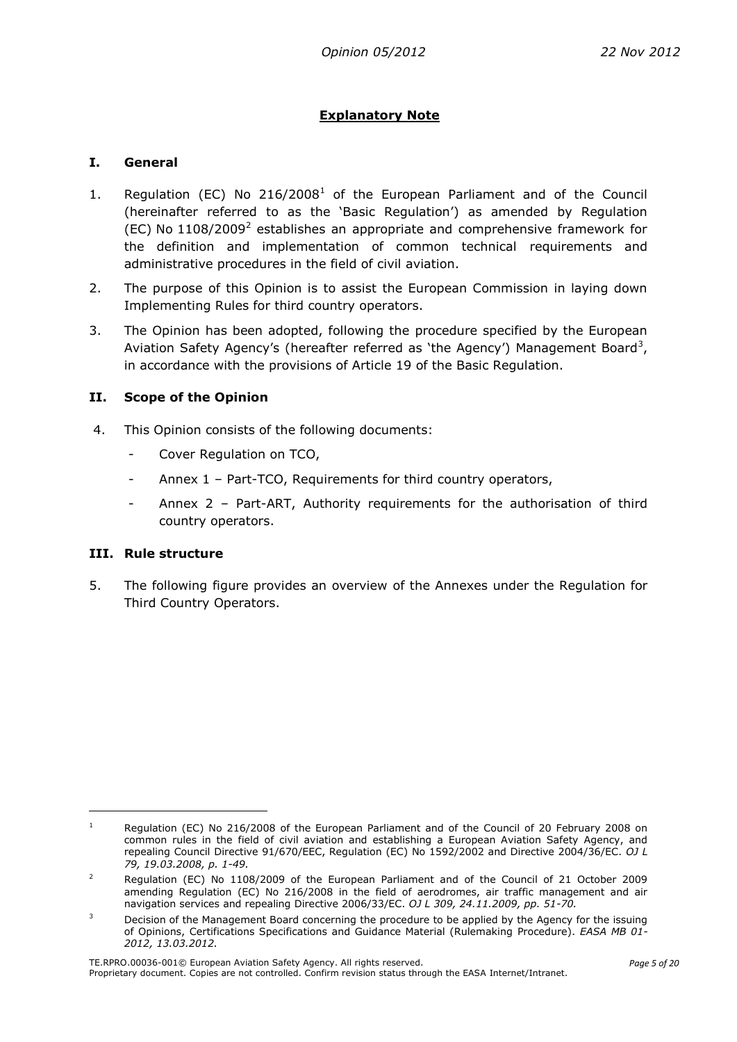## **Explanatory Note**

#### <span id="page-4-1"></span><span id="page-4-0"></span>**I. General**

- 1. Regulation (EC) No  $216/2008<sup>1</sup>$  of the European Parliament and of the Council (hereinafter referred to as the 'Basic Regulation') as amended by Regulation (EC) No  $1108/2009<sup>2</sup>$  establishes an appropriate and comprehensive framework for the definition and implementation of common technical requirements and administrative procedures in the field of civil aviation.
- 2. The purpose of this Opinion is to assist the European Commission in laying down Implementing Rules for third country operators.
- 3. The Opinion has been adopted, following the procedure specified by the European Aviation Safety Agency's (hereafter referred as 'the Agency') Management Board<sup>3</sup>, in accordance with the provisions of Article 19 of the Basic Regulation.

#### <span id="page-4-2"></span>**II. Scope of the Opinion**

- 4. This Opinion consists of the following documents:
	- Cover Regulation on TCO,
	- Annex 1 Part-TCO, Requirements for third country operators,
	- Annex 2 Part-ART, Authority requirements for the authorisation of third country operators.

#### <span id="page-4-3"></span>**III. Rule structure**

**.** 

5. The following figure provides an overview of the Annexes under the Regulation for Third Country Operators.

<sup>&</sup>lt;sup>1</sup> Regulation (EC) No 216/2008 of the European Parliament and of the Council of 20 February 2008 on common rules in the field of civil aviation and establishing a European Aviation Safety Agency, and repealing Council Directive 91/670/EEC, Regulation (EC) No 1592/2002 and Directive 2004/36/EC. *OJ L 79, 19.03.2008, p. 1-49.*

<sup>&</sup>lt;sup>2</sup> Regulation (EC) No 1108/2009 of the European Parliament and of the Council of 21 October 2009 amending Regulation (EC) No 216/2008 in the field of aerodromes, air traffic management and air navigation services and repealing Directive 2006/33/EC. *OJ L 309, 24.11.2009, pp. 51-70.*

<sup>&</sup>lt;sup>3</sup> Decision of the Management Board concerning the procedure to be applied by the Agency for the issuing of Opinions, Certifications Specifications and Guidance Material (Rulemaking Procedure). *EASA MB 01- 2012, 13.03.2012.*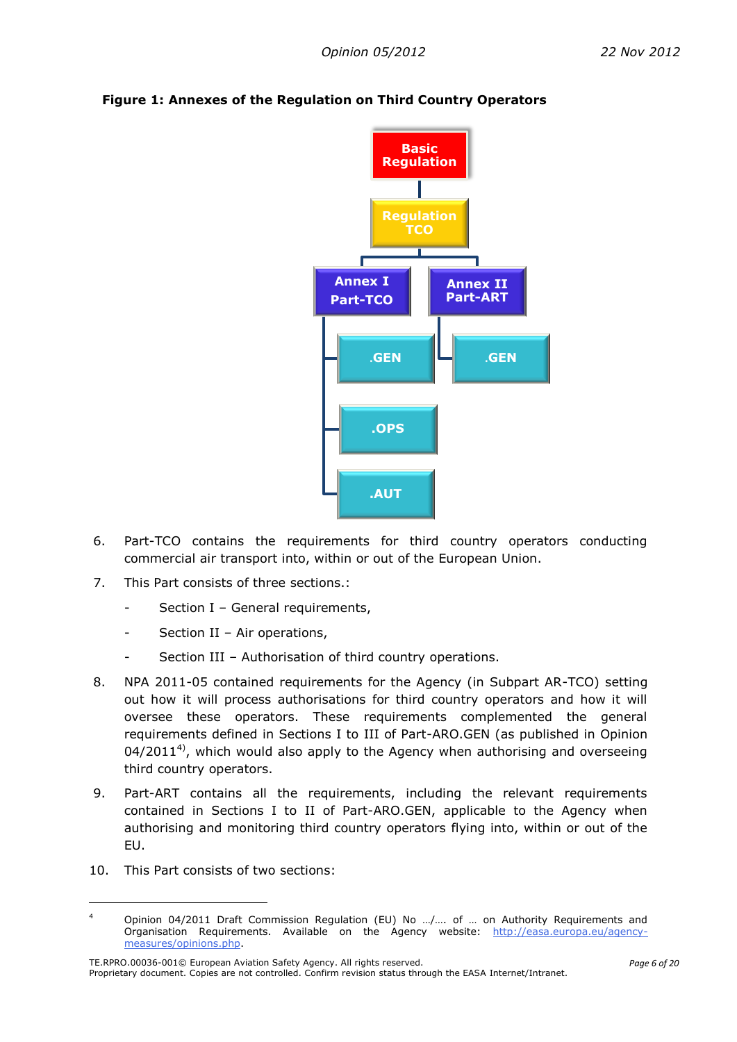

# **Figure 1: Annexes of the Regulation on Third Country Operators**

- 6. Part-TCO contains the requirements for third country operators conducting commercial air transport into, within or out of the European Union.
- 7. This Part consists of three sections.:
	- Section I General requirements,
	- Section II Air operations,
	- Section III Authorisation of third country operations.
- 8. NPA 2011-05 contained requirements for the Agency (in Subpart AR-TCO) setting out how it will process authorisations for third country operators and how it will oversee these operators. These requirements complemented the general requirements defined in Sections I to III of Part-ARO.GEN (as published in Opinion 04/2011<sup>4)</sup>, which would also apply to the Agency when authorising and overseeing third country operators.
- 9. Part-ART contains all the requirements, including the relevant requirements contained in Sections I to II of Part-ARO.GEN, applicable to the Agency when authorising and monitoring third country operators flying into, within or out of the EU.
- 10. This Part consists of two sections:

**.** 

<sup>4</sup> Opinion 04/2011 Draft Commission Regulation (EU) No .../.... of ... on Authority Requirements and Organisation Requirements. Available on the Agency website: [http://easa.europa.eu/agency](http://easa.europa.eu/agency-measures/opinions.php)[measures/opinions.php.](http://easa.europa.eu/agency-measures/opinions.php)

TE.RPRO.00036-001© European Aviation Safety Agency. All rights reserved. Proprietary document. Copies are not controlled. Confirm revision status through the EASA Internet/Intranet.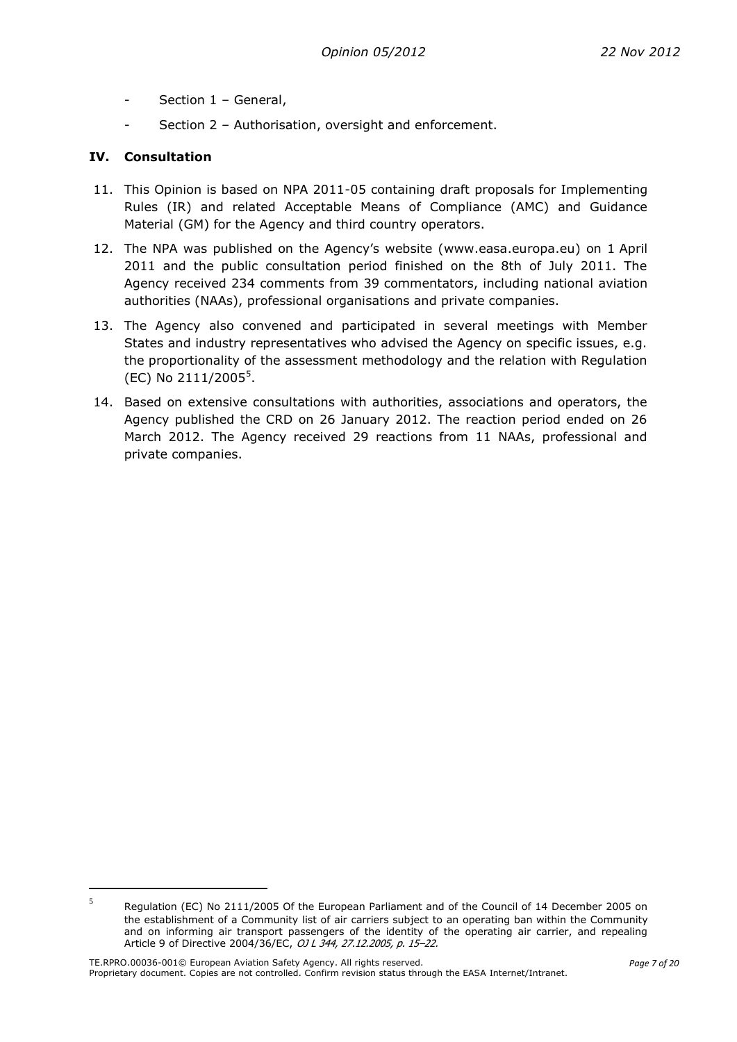- Section 1 General,
- Section 2 Authorisation, oversight and enforcement.

## <span id="page-6-0"></span>**IV. Consultation**

**.** 

- 11. This Opinion is based on NPA 2011-05 containing draft proposals for Implementing Rules (IR) and related Acceptable Means of Compliance (AMC) and Guidance Material (GM) for the Agency and third country operators.
- 12. The NPA was published on the Agency's website ([www.easa.europa.eu\)](http://www.easa.europa.eu/) on 1 April 2011 and the public consultation period finished on the 8th of July 2011. The Agency received 234 comments from 39 commentators, including national aviation authorities (NAAs), professional organisations and private companies.
- 13. The Agency also convened and participated in several meetings with Member States and industry representatives who advised the Agency on specific issues, e.g. the proportionality of the assessment methodology and the relation with Regulation (EC) No 2111/2005<sup>5</sup>.
- 14. Based on extensive consultations with authorities, associations and operators, the Agency published the CRD on 26 January 2012. The reaction period ended on 26 March 2012. The Agency received 29 reactions from 11 NAAs, professional and private companies.

<sup>5</sup> Regulation (EC) No 2111/2005 Of the European Parliament and of the Council of 14 December 2005 on the establishment of a Community list of air carriers subject to an operating ban within the Community and on informing air transport passengers of the identity of the operating air carrier, and repealing Article 9 of Directive 2004/36/EC, OJ L 344, 27.12.2005, p. 15–22.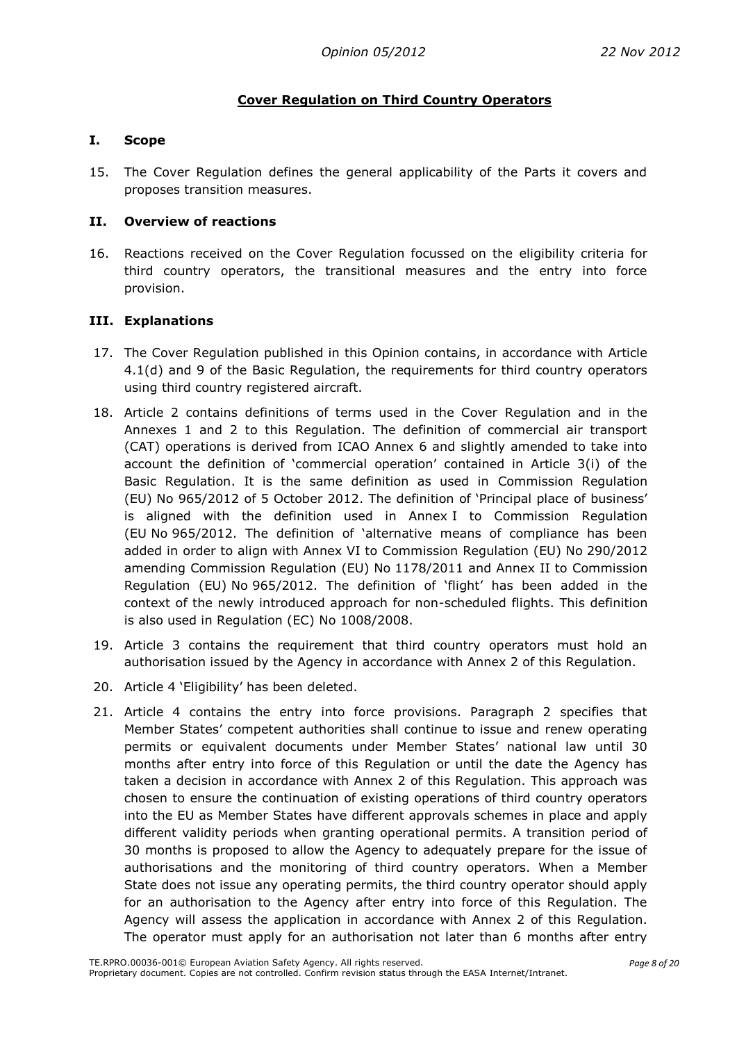## **Cover Regulation on Third Country Operators**

#### <span id="page-7-1"></span><span id="page-7-0"></span>**I. Scope**

15. The Cover Regulation defines the general applicability of the Parts it covers and proposes transition measures.

#### <span id="page-7-2"></span>**II. Overview of reactions**

16. Reactions received on the Cover Regulation focussed on the eligibility criteria for third country operators, the transitional measures and the entry into force provision.

#### <span id="page-7-3"></span>**III. Explanations**

- 17. The Cover Regulation published in this Opinion contains, in accordance with Article 4.1(d) and 9 of the Basic Regulation, the requirements for third country operators using third country registered aircraft.
- 18. Article 2 contains definitions of terms used in the Cover Regulation and in the Annexes 1 and 2 to this Regulation. The definition of commercial air transport (CAT) operations is derived from ICAO Annex 6 and slightly amended to take into account the definition of 'commercial operation' contained in Article 3(i) of the Basic Regulation. It is the same definition as used in Commission Regulation (EU) No 965/2012 of 5 October 2012. The definition of 'Principal place of business' is aligned with the definition used in Annex I to Commission Regulation (EU No 965/2012. The definition of 'alternative means of compliance has been added in order to align with Annex VI to Commission Regulation (EU) No 290/2012 amending Commission Regulation (EU) No 1178/2011 and Annex II to Commission Regulation (EU) No 965/2012. The definition of 'flight' has been added in the context of the newly introduced approach for non-scheduled flights. This definition is also used in Regulation (EC) No 1008/2008.
- 19. Article 3 contains the requirement that third country operators must hold an authorisation issued by the Agency in accordance with Annex 2 of this Regulation.
- 20. Article 4 'Eligibility' has been deleted.
- 21. Article 4 contains the entry into force provisions. Paragraph 2 specifies that Member States' competent authorities shall continue to issue and renew operating permits or equivalent documents under Member States' national law until 30 months after entry into force of this Regulation or until the date the Agency has taken a decision in accordance with Annex 2 of this Regulation. This approach was chosen to ensure the continuation of existing operations of third country operators into the EU as Member States have different approvals schemes in place and apply different validity periods when granting operational permits. A transition period of 30 months is proposed to allow the Agency to adequately prepare for the issue of authorisations and the monitoring of third country operators. When a Member State does not issue any operating permits, the third country operator should apply for an authorisation to the Agency after entry into force of this Regulation. The Agency will assess the application in accordance with Annex 2 of this Regulation. The operator must apply for an authorisation not later than 6 months after entry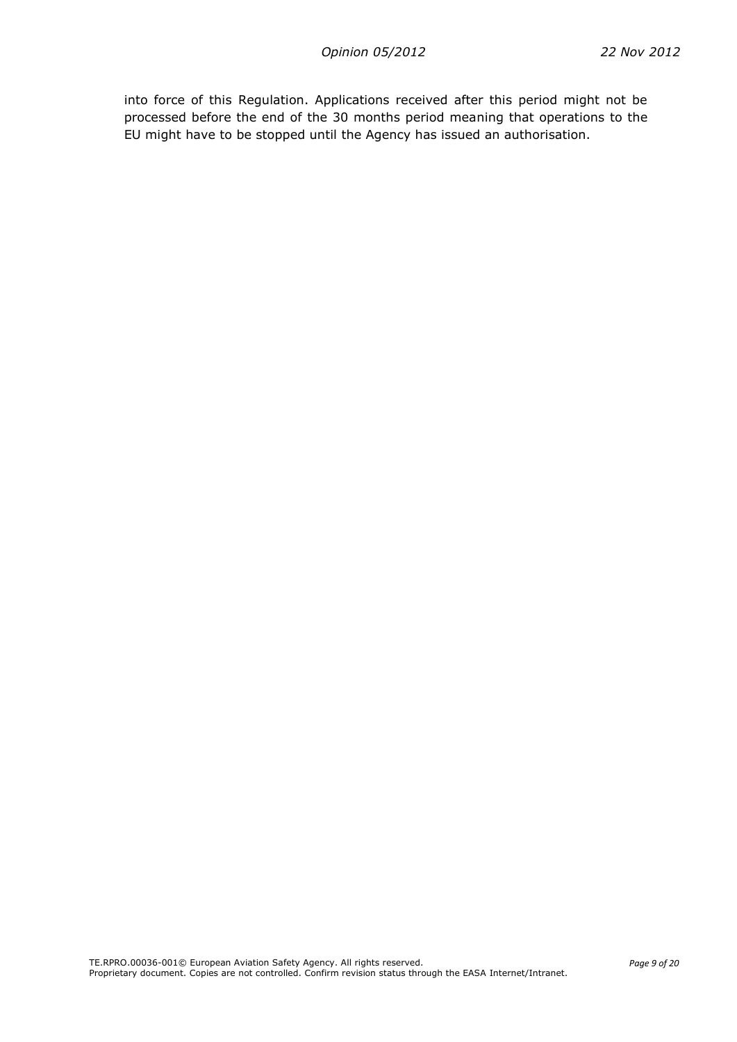into force of this Regulation. Applications received after this period might not be processed before the end of the 30 months period meaning that operations to the EU might have to be stopped until the Agency has issued an authorisation.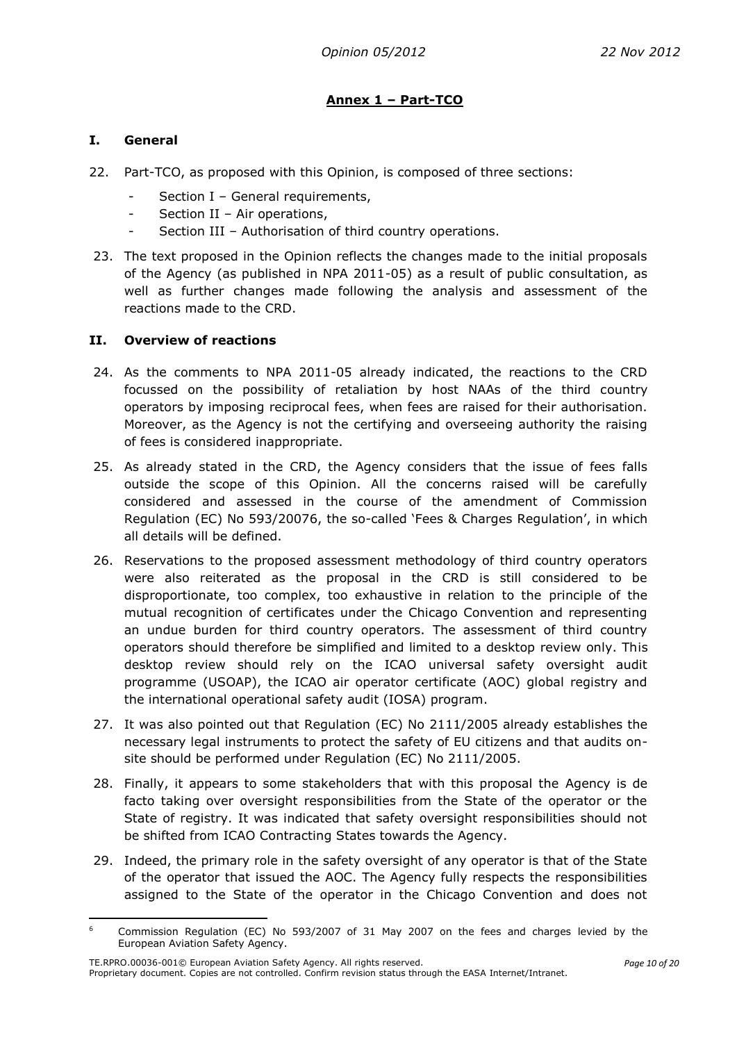# **Annex 1 – Part-TCO**

## <span id="page-9-1"></span><span id="page-9-0"></span>**I. General**

- 22. Part-TCO, as proposed with this Opinion, is composed of three sections:
	- Section I General requirements,
	- Section II Air operations,
	- Section III Authorisation of third country operations.
- 23. The text proposed in the Opinion reflects the changes made to the initial proposals of the Agency (as published in NPA 2011-05) as a result of public consultation, as well as further changes made following the analysis and assessment of the reactions made to the CRD.

#### <span id="page-9-2"></span>**II. Overview of reactions**

- 24. As the comments to NPA 2011-05 already indicated, the reactions to the CRD focussed on the possibility of retaliation by host NAAs of the third country operators by imposing reciprocal fees, when fees are raised for their authorisation. Moreover, as the Agency is not the certifying and overseeing authority the raising of fees is considered inappropriate.
- 25. As already stated in the CRD, the Agency considers that the issue of fees falls outside the scope of this Opinion. All the concerns raised will be carefully considered and assessed in the course of the amendment of Commission Regulation (EC) No 593/20076, the so-called 'Fees & Charges Regulation', in which all details will be defined.
- 26. Reservations to the proposed assessment methodology of third country operators were also reiterated as the proposal in the CRD is still considered to be disproportionate, too complex, too exhaustive in relation to the principle of the mutual recognition of certificates under the Chicago Convention and representing an undue burden for third country operators. The assessment of third country operators should therefore be simplified and limited to a desktop review only. This desktop review should rely on the ICAO universal safety oversight audit programme (USOAP), the ICAO air operator certificate (AOC) global registry and the international operational safety audit (IOSA) program.
- 27. It was also pointed out that Regulation (EC) No 2111/2005 already establishes the necessary legal instruments to protect the safety of EU citizens and that audits onsite should be performed under Regulation (EC) No 2111/2005.
- 28. Finally, it appears to some stakeholders that with this proposal the Agency is de facto taking over oversight responsibilities from the State of the operator or the State of registry. It was indicated that safety oversight responsibilities should not be shifted from ICAO Contracting States towards the Agency.
- 29. Indeed, the primary role in the safety oversight of any operator is that of the State of the operator that issued the AOC. The Agency fully respects the responsibilities assigned to the State of the operator in the Chicago Convention and does not

 $6\overline{6}$ <sup>6</sup> Commission Regulation (EC) No 593/2007 of 31 May 2007 on the fees and charges levied by the European Aviation Safety Agency.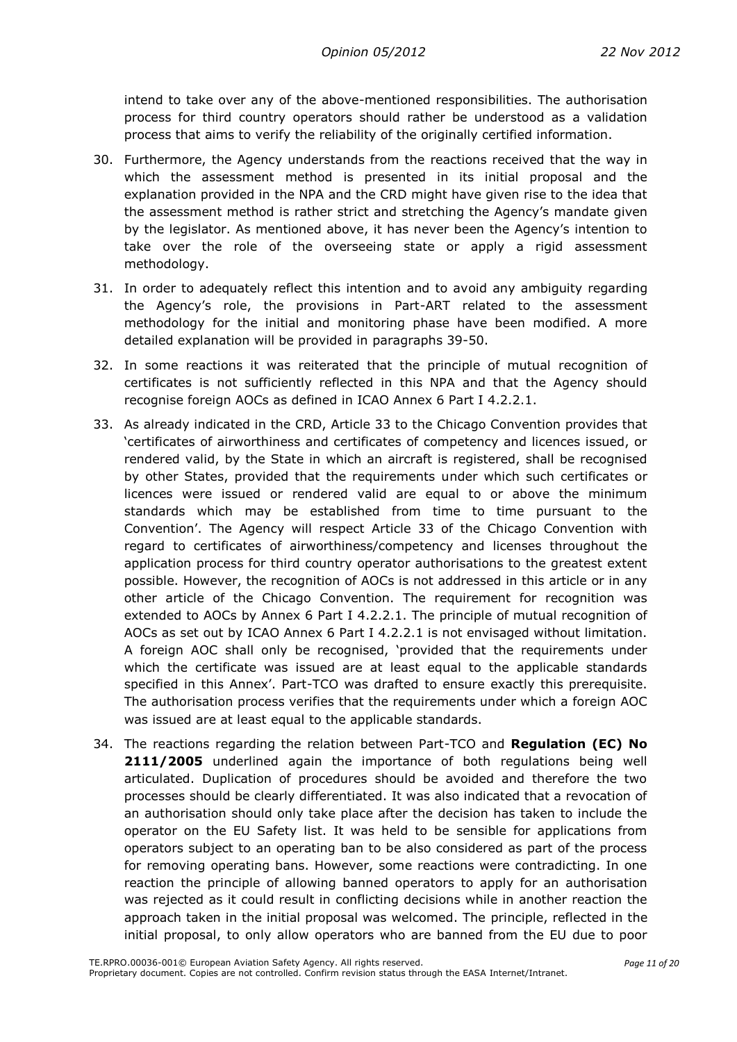intend to take over any of the above-mentioned responsibilities. The authorisation process for third country operators should rather be understood as a validation process that aims to verify the reliability of the originally certified information.

- 30. Furthermore, the Agency understands from the reactions received that the way in which the assessment method is presented in its initial proposal and the explanation provided in the NPA and the CRD might have given rise to the idea that the assessment method is rather strict and stretching the Agency's mandate given by the legislator. As mentioned above, it has never been the Agency's intention to take over the role of the overseeing state or apply a rigid assessment methodology.
- 31. In order to adequately reflect this intention and to avoid any ambiguity regarding the Agency's role, the provisions in Part-ART related to the assessment methodology for the initial and monitoring phase have been modified. A more detailed explanation will be provided in paragraphs 39-50.
- 32. In some reactions it was reiterated that the principle of mutual recognition of certificates is not sufficiently reflected in this NPA and that the Agency should recognise foreign AOCs as defined in ICAO Annex 6 Part I 4.2.2.1.
- 33. As already indicated in the CRD, Article 33 to the Chicago Convention provides that 'certificates of airworthiness and certificates of competency and licences issued, or rendered valid, by the State in which an aircraft is registered, shall be recognised by other States, provided that the requirements under which such certificates or licences were issued or rendered valid are equal to or above the minimum standards which may be established from time to time pursuant to the Convention'. The Agency will respect Article 33 of the Chicago Convention with regard to certificates of airworthiness/competency and licenses throughout the application process for third country operator authorisations to the greatest extent possible. However, the recognition of AOCs is not addressed in this article or in any other article of the Chicago Convention. The requirement for recognition was extended to AOCs by Annex 6 Part I 4.2.2.1. The principle of mutual recognition of AOCs as set out by ICAO Annex 6 Part I 4.2.2.1 is not envisaged without limitation. A foreign AOC shall only be recognised, 'provided that the requirements under which the certificate was issued are at least equal to the applicable standards specified in this Annex'. Part-TCO was drafted to ensure exactly this prerequisite. The authorisation process verifies that the requirements under which a foreign AOC was issued are at least equal to the applicable standards.
- 34. The reactions regarding the relation between Part-TCO and **Regulation (EC) No**  2111/2005 underlined again the importance of both regulations being well articulated. Duplication of procedures should be avoided and therefore the two processes should be clearly differentiated. It was also indicated that a revocation of an authorisation should only take place after the decision has taken to include the operator on the EU Safety list. It was held to be sensible for applications from operators subject to an operating ban to be also considered as part of the process for removing operating bans. However, some reactions were contradicting. In one reaction the principle of allowing banned operators to apply for an authorisation was rejected as it could result in conflicting decisions while in another reaction the approach taken in the initial proposal was welcomed. The principle, reflected in the initial proposal, to only allow operators who are banned from the EU due to poor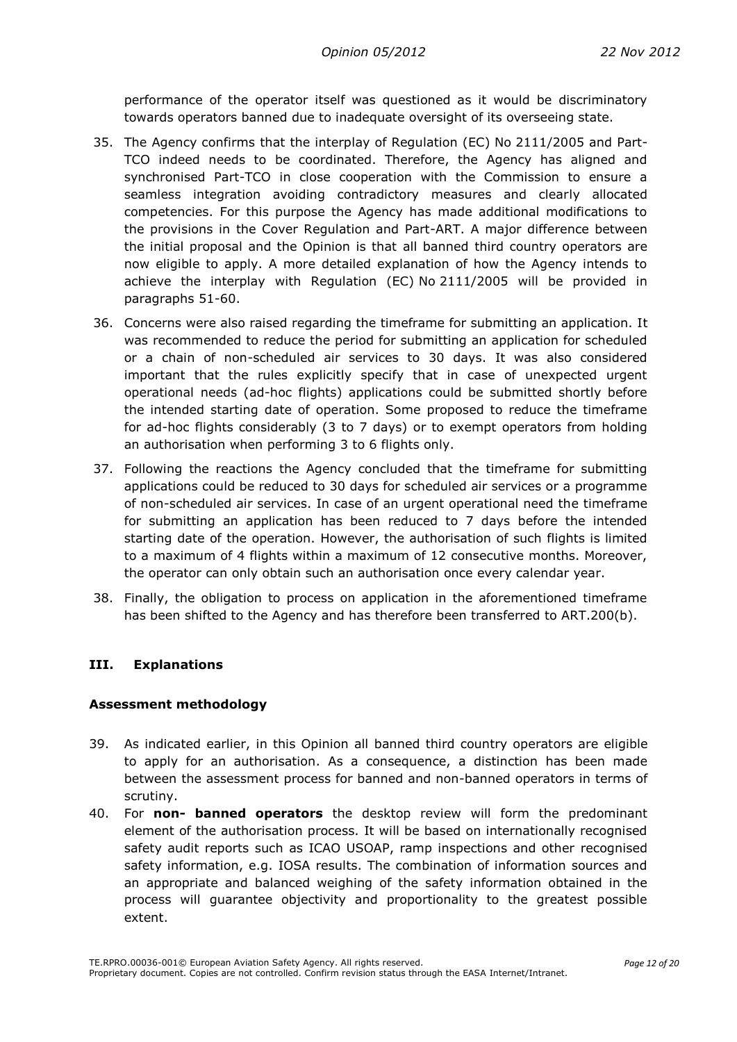performance of the operator itself was questioned as it would be discriminatory towards operators banned due to inadequate oversight of its overseeing state.

- 35. The Agency confirms that the interplay of Regulation (EC) No 2111/2005 and Part-TCO indeed needs to be coordinated. Therefore, the Agency has aligned and synchronised Part-TCO in close cooperation with the Commission to ensure a seamless integration avoiding contradictory measures and clearly allocated competencies. For this purpose the Agency has made additional modifications to the provisions in the Cover Regulation and Part-ART. A major difference between the initial proposal and the Opinion is that all banned third country operators are now eligible to apply. A more detailed explanation of how the Agency intends to achieve the interplay with Regulation (EC) No 2111/2005 will be provided in paragraphs 51-60.
- 36. Concerns were also raised regarding the timeframe for submitting an application. It was recommended to reduce the period for submitting an application for scheduled or a chain of non-scheduled air services to 30 days. It was also considered important that the rules explicitly specify that in case of unexpected urgent operational needs (ad-hoc flights) applications could be submitted shortly before the intended starting date of operation. Some proposed to reduce the timeframe for ad-hoc flights considerably (3 to 7 days) or to exempt operators from holding an authorisation when performing 3 to 6 flights only.
- 37. Following the reactions the Agency concluded that the timeframe for submitting applications could be reduced to 30 days for scheduled air services or a programme of non-scheduled air services. In case of an urgent operational need the timeframe for submitting an application has been reduced to 7 days before the intended starting date of the operation. However, the authorisation of such flights is limited to a maximum of 4 flights within a maximum of 12 consecutive months. Moreover, the operator can only obtain such an authorisation once every calendar year.
- 38. Finally, the obligation to process on application in the aforementioned timeframe has been shifted to the Agency and has therefore been transferred to ART.200(b).

#### **III. Explanations**

#### **Assessment methodology**

- 39. As indicated earlier, in this Opinion all banned third country operators are eligible to apply for an authorisation. As a consequence, a distinction has been made between the assessment process for banned and non-banned operators in terms of scrutiny.
- 40. For **non- banned operators** the desktop review will form the predominant element of the authorisation process. It will be based on internationally recognised safety audit reports such as ICAO USOAP, ramp inspections and other recognised safety information, e.g. IOSA results. The combination of information sources and an appropriate and balanced weighing of the safety information obtained in the process will guarantee objectivity and proportionality to the greatest possible extent.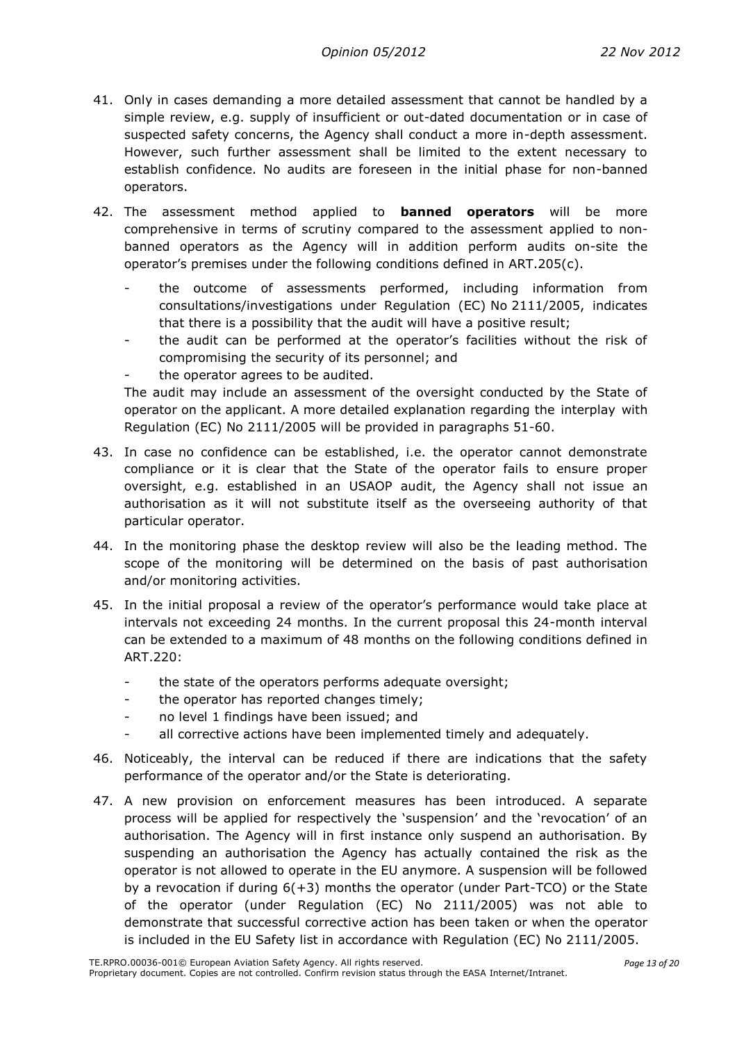- 41. Only in cases demanding a more detailed assessment that cannot be handled by a simple review, e.g. supply of insufficient or out-dated documentation or in case of suspected safety concerns, the Agency shall conduct a more in-depth assessment. However, such further assessment shall be limited to the extent necessary to establish confidence. No audits are foreseen in the initial phase for non-banned operators.
- 42. The assessment method applied to **banned operators** will be more comprehensive in terms of scrutiny compared to the assessment applied to nonbanned operators as the Agency will in addition perform audits on-site the operator's premises under the following conditions defined in ART.205(c).
	- the outcome of assessments performed, including information from consultations/investigations under Regulation (EC) No 2111/2005, indicates that there is a possibility that the audit will have a positive result;
	- the audit can be performed at the operator's facilities without the risk of compromising the security of its personnel; and
	- the operator agrees to be audited.

The audit may include an assessment of the oversight conducted by the State of operator on the applicant. A more detailed explanation regarding the interplay with Regulation (EC) No 2111/2005 will be provided in paragraphs 51-60.

- 43. In case no confidence can be established, i.e. the operator cannot demonstrate compliance or it is clear that the State of the operator fails to ensure proper oversight, e.g. established in an USAOP audit, the Agency shall not issue an authorisation as it will not substitute itself as the overseeing authority of that particular operator.
- 44. In the monitoring phase the desktop review will also be the leading method. The scope of the monitoring will be determined on the basis of past authorisation and/or monitoring activities.
- 45. In the initial proposal a review of the operator's performance would take place at intervals not exceeding 24 months. In the current proposal this 24-month interval can be extended to a maximum of 48 months on the following conditions defined in ART.220:
	- the state of the operators performs adequate oversight;
	- the operator has reported changes timely;
	- no level 1 findings have been issued; and
	- all corrective actions have been implemented timely and adequately.
- 46. Noticeably, the interval can be reduced if there are indications that the safety performance of the operator and/or the State is deteriorating.
- 47. A new provision on enforcement measures has been introduced. A separate process will be applied for respectively the 'suspension' and the 'revocation' of an authorisation. The Agency will in first instance only suspend an authorisation. By suspending an authorisation the Agency has actually contained the risk as the operator is not allowed to operate in the EU anymore. A suspension will be followed by a revocation if during  $6(+3)$  months the operator (under Part-TCO) or the State of the operator (under Regulation (EC) No 2111/2005) was not able to demonstrate that successful corrective action has been taken or when the operator is included in the EU Safety list in accordance with Regulation (EC) No 2111/2005.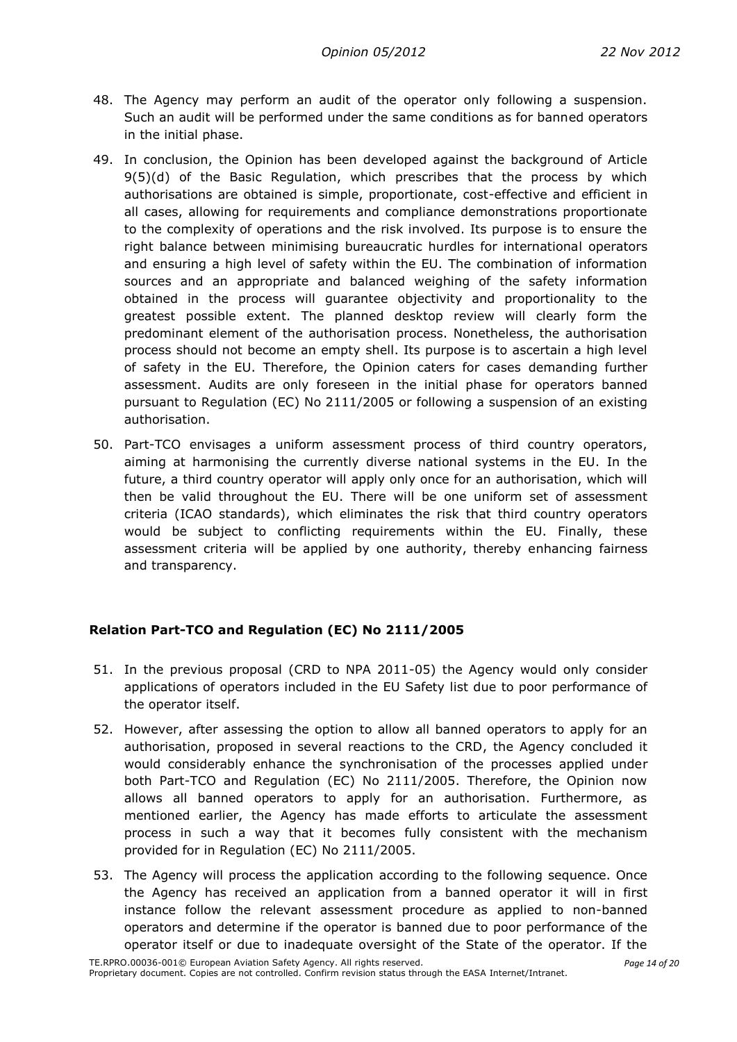- 48. The Agency may perform an audit of the operator only following a suspension. Such an audit will be performed under the same conditions as for banned operators in the initial phase.
- 49. In conclusion, the Opinion has been developed against the background of Article 9(5)(d) of the Basic Regulation, which prescribes that the process by which authorisations are obtained is simple, proportionate, cost-effective and efficient in all cases, allowing for requirements and compliance demonstrations proportionate to the complexity of operations and the risk involved. Its purpose is to ensure the right balance between minimising bureaucratic hurdles for international operators and ensuring a high level of safety within the EU. The combination of information sources and an appropriate and balanced weighing of the safety information obtained in the process will guarantee objectivity and proportionality to the greatest possible extent. The planned desktop review will clearly form the predominant element of the authorisation process. Nonetheless, the authorisation process should not become an empty shell. Its purpose is to ascertain a high level of safety in the EU. Therefore, the Opinion caters for cases demanding further assessment. Audits are only foreseen in the initial phase for operators banned pursuant to Regulation (EC) No 2111/2005 or following a suspension of an existing authorisation.
- 50. Part-TCO envisages a uniform assessment process of third country operators, aiming at harmonising the currently diverse national systems in the EU. In the future, a third country operator will apply only once for an authorisation, which will then be valid throughout the EU. There will be one uniform set of assessment criteria (ICAO standards), which eliminates the risk that third country operators would be subject to conflicting requirements within the EU. Finally, these assessment criteria will be applied by one authority, thereby enhancing fairness and transparency.

## **Relation Part-TCO and Regulation (EC) No 2111/2005**

- 51. In the previous proposal (CRD to NPA 2011-05) the Agency would only consider applications of operators included in the EU Safety list due to poor performance of the operator itself.
- 52. However, after assessing the option to allow all banned operators to apply for an authorisation, proposed in several reactions to the CRD, the Agency concluded it would considerably enhance the synchronisation of the processes applied under both Part-TCO and Regulation (EC) No 2111/2005. Therefore, the Opinion now allows all banned operators to apply for an authorisation. Furthermore, as mentioned earlier, the Agency has made efforts to articulate the assessment process in such a way that it becomes fully consistent with the mechanism provided for in Regulation (EC) No 2111/2005.
- 53. The Agency will process the application according to the following sequence. Once the Agency has received an application from a banned operator it will in first instance follow the relevant assessment procedure as applied to non-banned operators and determine if the operator is banned due to poor performance of the operator itself or due to inadequate oversight of the State of the operator. If the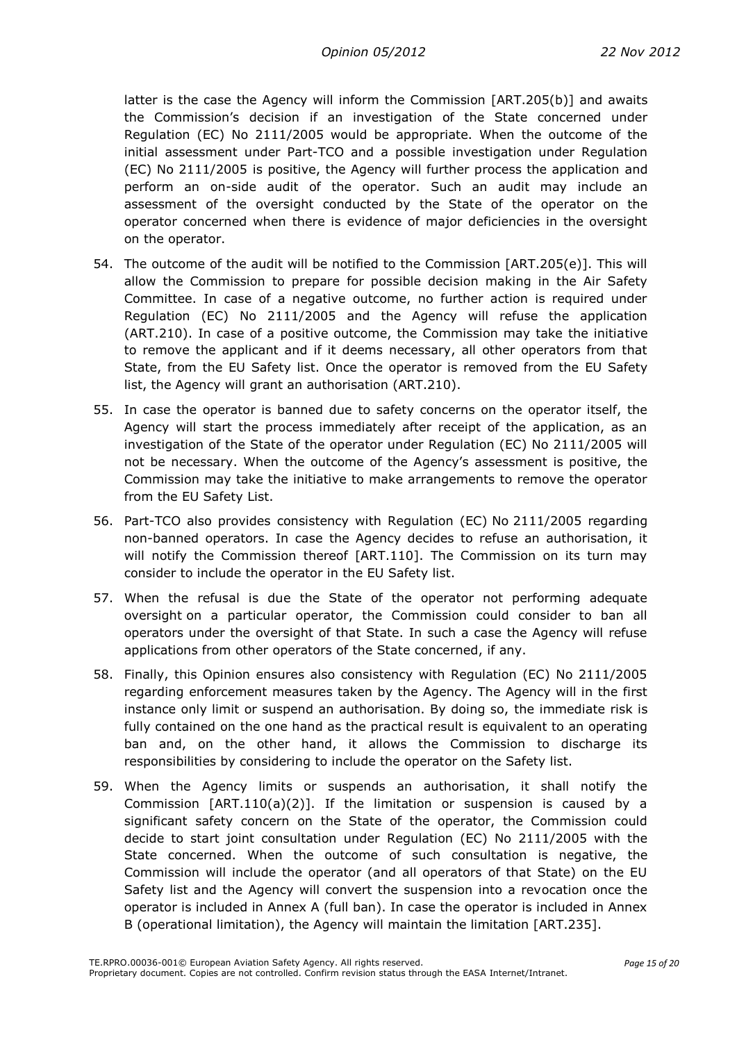latter is the case the Agency will inform the Commission [ART.205(b)] and awaits the Commission's decision if an investigation of the State concerned under Regulation (EC) No 2111/2005 would be appropriate. When the outcome of the initial assessment under Part-TCO and a possible investigation under Regulation (EC) No 2111/2005 is positive, the Agency will further process the application and perform an on-side audit of the operator. Such an audit may include an assessment of the oversight conducted by the State of the operator on the operator concerned when there is evidence of major deficiencies in the oversight on the operator.

- 54. The outcome of the audit will be notified to the Commission [ART.205(e)]. This will allow the Commission to prepare for possible decision making in the Air Safety Committee. In case of a negative outcome, no further action is required under Regulation (EC) No 2111/2005 and the Agency will refuse the application (ART.210). In case of a positive outcome, the Commission may take the initiative to remove the applicant and if it deems necessary, all other operators from that State, from the EU Safety list. Once the operator is removed from the EU Safety list, the Agency will grant an authorisation (ART.210).
- 55. In case the operator is banned due to safety concerns on the operator itself, the Agency will start the process immediately after receipt of the application, as an investigation of the State of the operator under Regulation (EC) No 2111/2005 will not be necessary. When the outcome of the Agency's assessment is positive, the Commission may take the initiative to make arrangements to remove the operator from the EU Safety List.
- 56. Part-TCO also provides consistency with Regulation (EC) No 2111/2005 regarding non-banned operators. In case the Agency decides to refuse an authorisation, it will notify the Commission thereof [ART.110]. The Commission on its turn may consider to include the operator in the EU Safety list.
- 57. When the refusal is due the State of the operator not performing adequate oversight on a particular operator, the Commission could consider to ban all operators under the oversight of that State. In such a case the Agency will refuse applications from other operators of the State concerned, if any.
- 58. Finally, this Opinion ensures also consistency with Regulation (EC) No 2111/2005 regarding enforcement measures taken by the Agency. The Agency will in the first instance only limit or suspend an authorisation. By doing so, the immediate risk is fully contained on the one hand as the practical result is equivalent to an operating ban and, on the other hand, it allows the Commission to discharge its responsibilities by considering to include the operator on the Safety list.
- 59. When the Agency limits or suspends an authorisation, it shall notify the Commission  $[ART.110(a)(2)].$  If the limitation or suspension is caused by a significant safety concern on the State of the operator, the Commission could decide to start joint consultation under Regulation (EC) No 2111/2005 with the State concerned. When the outcome of such consultation is negative, the Commission will include the operator (and all operators of that State) on the EU Safety list and the Agency will convert the suspension into a revocation once the operator is included in Annex A (full ban). In case the operator is included in Annex B (operational limitation), the Agency will maintain the limitation [ART.235].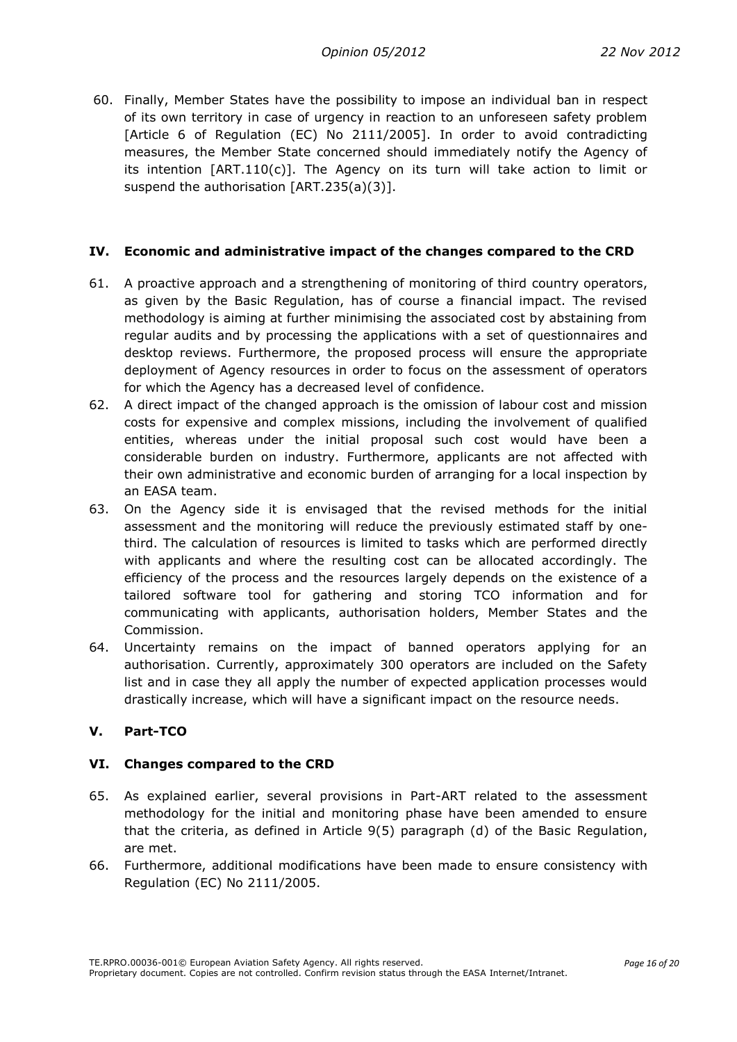60. Finally, Member States have the possibility to impose an individual ban in respect of its own territory in case of urgency in reaction to an unforeseen safety problem [Article 6 of Regulation (EC) No 2111/2005]. In order to avoid contradicting measures, the Member State concerned should immediately notify the Agency of its intention [ART.110(c)]. The Agency on its turn will take action to limit or suspend the authorisation [ART.235(a)(3)].

#### <span id="page-15-0"></span>**IV. Economic and administrative impact of the changes compared to the CRD**

- 61. A proactive approach and a strengthening of monitoring of third country operators, as given by the Basic Regulation, has of course a financial impact. The revised methodology is aiming at further minimising the associated cost by abstaining from regular audits and by processing the applications with a set of questionnaires and desktop reviews. Furthermore, the proposed process will ensure the appropriate deployment of Agency resources in order to focus on the assessment of operators for which the Agency has a decreased level of confidence.
- 62. A direct impact of the changed approach is the omission of labour cost and mission costs for expensive and complex missions, including the involvement of qualified entities, whereas under the initial proposal such cost would have been a considerable burden on industry. Furthermore, applicants are not affected with their own administrative and economic burden of arranging for a local inspection by an EASA team.
- 63. On the Agency side it is envisaged that the revised methods for the initial assessment and the monitoring will reduce the previously estimated staff by onethird. The calculation of resources is limited to tasks which are performed directly with applicants and where the resulting cost can be allocated accordingly. The efficiency of the process and the resources largely depends on the existence of a tailored software tool for gathering and storing TCO information and for communicating with applicants, authorisation holders, Member States and the Commission.
- 64. Uncertainty remains on the impact of banned operators applying for an authorisation. Currently, approximately 300 operators are included on the Safety list and in case they all apply the number of expected application processes would drastically increase, which will have a significant impact on the resource needs.

#### <span id="page-15-1"></span>**V. Part-TCO**

#### <span id="page-15-2"></span>**VI. Changes compared to the CRD**

- 65. As explained earlier, several provisions in Part-ART related to the assessment methodology for the initial and monitoring phase have been amended to ensure that the criteria, as defined in Article 9(5) paragraph (d) of the Basic Regulation, are met.
- 66. Furthermore, additional modifications have been made to ensure consistency with Regulation (EC) No 2111/2005.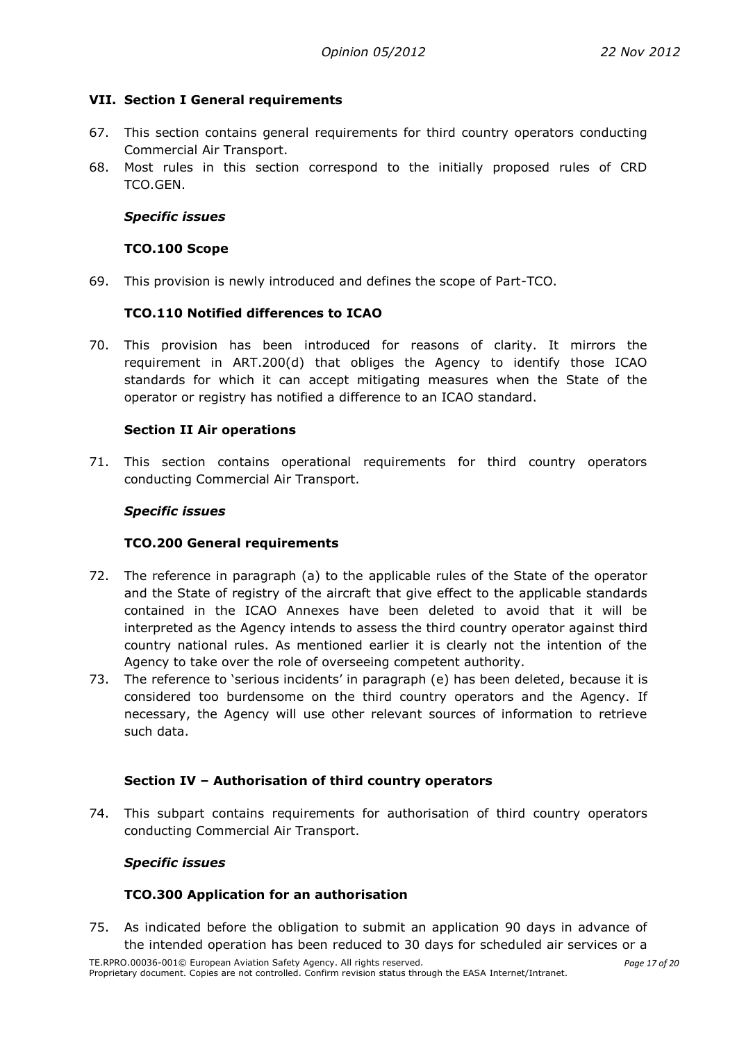#### <span id="page-16-0"></span>**VII. Section I General requirements**

- 67. This section contains general requirements for third country operators conducting Commercial Air Transport.
- 68. Most rules in this section correspond to the initially proposed rules of CRD TCO.GEN.

#### <span id="page-16-1"></span>*Specific issues*

#### **TCO.100 Scope**

<span id="page-16-3"></span><span id="page-16-2"></span>69. This provision is newly introduced and defines the scope of Part-TCO.

#### **TCO.110 Notified differences to ICAO**

70. This provision has been introduced for reasons of clarity. It mirrors the requirement in ART.200(d) that obliges the Agency to identify those ICAO standards for which it can accept mitigating measures when the State of the operator or registry has notified a difference to an ICAO standard.

#### <span id="page-16-4"></span>**Section II Air operations**

<span id="page-16-5"></span>71. This section contains operational requirements for third country operators conducting Commercial Air Transport.

#### *Specific issues*

#### **TCO.200 General requirements**

- <span id="page-16-6"></span>72. The reference in paragraph (a) to the applicable rules of the State of the operator and the State of registry of the aircraft that give effect to the applicable standards contained in the ICAO Annexes have been deleted to avoid that it will be interpreted as the Agency intends to assess the third country operator against third country national rules. As mentioned earlier it is clearly not the intention of the Agency to take over the role of overseeing competent authority.
- 73. The reference to 'serious incidents' in paragraph (e) has been deleted, because it is considered too burdensome on the third country operators and the Agency. If necessary, the Agency will use other relevant sources of information to retrieve such data.

#### <span id="page-16-7"></span>**Section IV – Authorisation of third country operators**

<span id="page-16-8"></span>74. This subpart contains requirements for authorisation of third country operators conducting Commercial Air Transport.

#### *Specific issues*

#### **TCO.300 Application for an authorisation**

<span id="page-16-9"></span>75. As indicated before the obligation to submit an application 90 days in advance of the intended operation has been reduced to 30 days for scheduled air services or a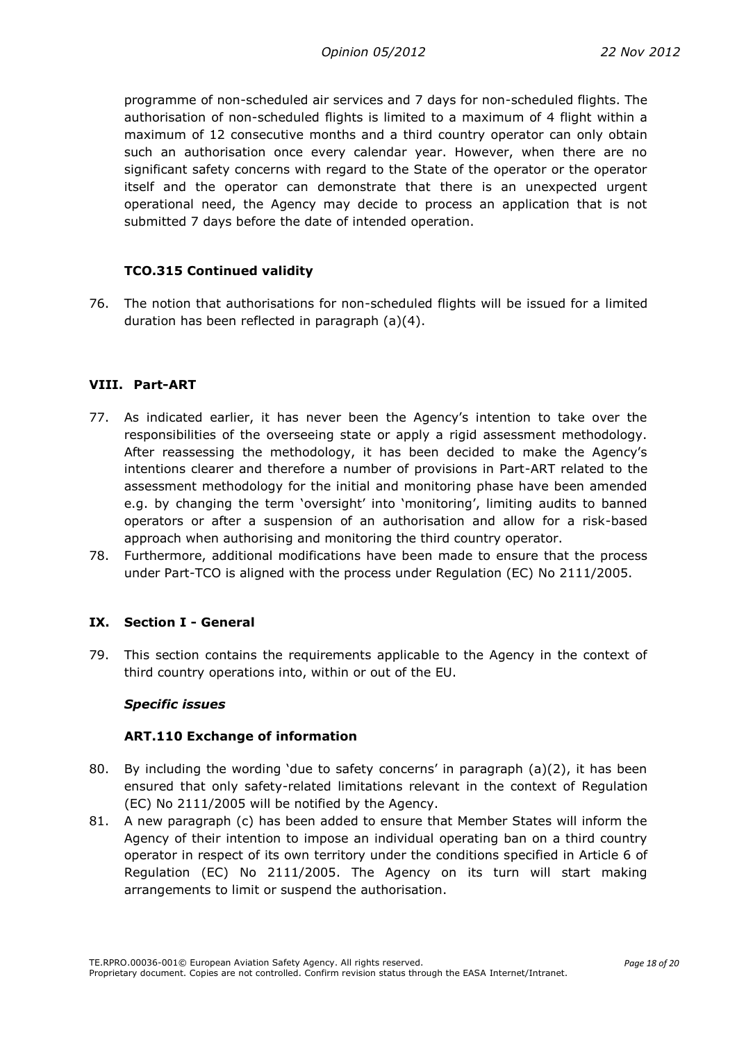programme of non-scheduled air services and 7 days for non-scheduled flights. The authorisation of non-scheduled flights is limited to a maximum of 4 flight within a maximum of 12 consecutive months and a third country operator can only obtain such an authorisation once every calendar year. However, when there are no significant safety concerns with regard to the State of the operator or the operator itself and the operator can demonstrate that there is an unexpected urgent operational need, the Agency may decide to process an application that is not submitted 7 days before the date of intended operation.

#### <span id="page-17-0"></span>**TCO.315 Continued validity**

76. The notion that authorisations for non-scheduled flights will be issued for a limited duration has been reflected in paragraph (a)(4).

#### <span id="page-17-1"></span>**VIII. Part-ART**

- 77. As indicated earlier, it has never been the Agency's intention to take over the responsibilities of the overseeing state or apply a rigid assessment methodology. After reassessing the methodology, it has been decided to make the Agency's intentions clearer and therefore a number of provisions in Part-ART related to the assessment methodology for the initial and monitoring phase have been amended e.g. by changing the term 'oversight' into 'monitoring', limiting audits to banned operators or after a suspension of an authorisation and allow for a risk-based approach when authorising and monitoring the third country operator.
- 78. Furthermore, additional modifications have been made to ensure that the process under Part-TCO is aligned with the process under Regulation (EC) No 2111/2005.

#### <span id="page-17-2"></span>**IX. Section I - General**

<span id="page-17-3"></span>79. This section contains the requirements applicable to the Agency in the context of third country operations into, within or out of the EU.

#### *Specific issues*

#### **ART.110 Exchange of information**

- <span id="page-17-4"></span>80. By including the wording 'due to safety concerns' in paragraph  $(a)(2)$ , it has been ensured that only safety-related limitations relevant in the context of Regulation (EC) No 2111/2005 will be notified by the Agency.
- 81. A new paragraph (c) has been added to ensure that Member States will inform the Agency of their intention to impose an individual operating ban on a third country operator in respect of its own territory under the conditions specified in Article 6 of Regulation (EC) No 2111/2005. The Agency on its turn will start making arrangements to limit or suspend the authorisation.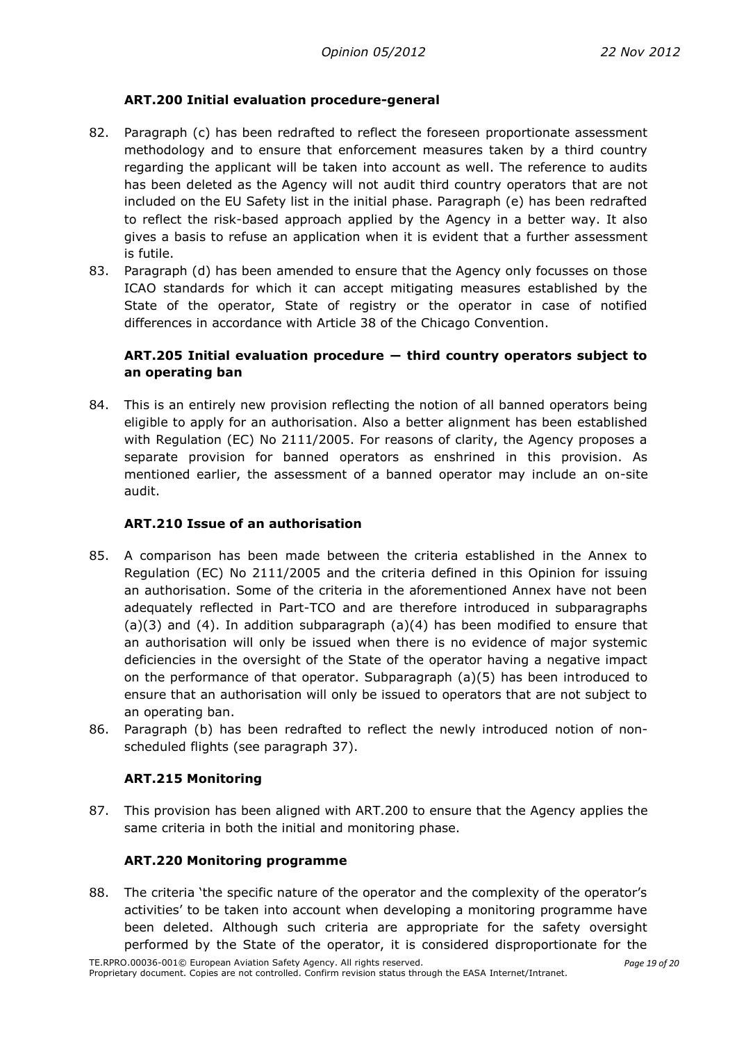## **ART.200 Initial evaluation procedure-general**

- <span id="page-18-0"></span>82. Paragraph (c) has been redrafted to reflect the foreseen proportionate assessment methodology and to ensure that enforcement measures taken by a third country regarding the applicant will be taken into account as well. The reference to audits has been deleted as the Agency will not audit third country operators that are not included on the EU Safety list in the initial phase. Paragraph (e) has been redrafted to reflect the risk-based approach applied by the Agency in a better way. It also gives a basis to refuse an application when it is evident that a further assessment is futile.
- 83. Paragraph (d) has been amended to ensure that the Agency only focusses on those ICAO standards for which it can accept mitigating measures established by the State of the operator, State of registry or the operator in case of notified differences in accordance with Article 38 of the Chicago Convention.

## <span id="page-18-1"></span>**ART.205 Initial evaluation procedure ― third country operators subject to an operating ban**

84. This is an entirely new provision reflecting the notion of all banned operators being eligible to apply for an authorisation. Also a better alignment has been established with Regulation (EC) No 2111/2005. For reasons of clarity, the Agency proposes a separate provision for banned operators as enshrined in this provision. As mentioned earlier, the assessment of a banned operator may include an on-site audit.

#### <span id="page-18-2"></span>**ART.210 Issue of an authorisation**

- 85. A comparison has been made between the criteria established in the Annex to Regulation (EC) No 2111/2005 and the criteria defined in this Opinion for issuing an authorisation. Some of the criteria in the aforementioned Annex have not been adequately reflected in Part-TCO and are therefore introduced in subparagraphs (a)(3) and (4). In addition subparagraph (a)(4) has been modified to ensure that an authorisation will only be issued when there is no evidence of major systemic deficiencies in the oversight of the State of the operator having a negative impact on the performance of that operator. Subparagraph (a)(5) has been introduced to ensure that an authorisation will only be issued to operators that are not subject to an operating ban.
- <span id="page-18-3"></span>86. Paragraph (b) has been redrafted to reflect the newly introduced notion of nonscheduled flights (see paragraph 37).

#### **ART.215 Monitoring**

<span id="page-18-4"></span>87. This provision has been aligned with ART.200 to ensure that the Agency applies the same criteria in both the initial and monitoring phase.

#### **ART.220 Monitoring programme**

88. The criteria 'the specific nature of the operator and the complexity of the operator's activities' to be taken into account when developing a monitoring programme have been deleted. Although such criteria are appropriate for the safety oversight performed by the State of the operator, it is considered disproportionate for the